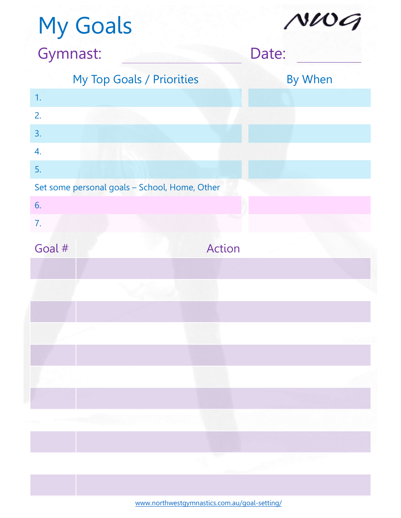## My Goals My Top Goals / Priorities 1. 2. 3. 4. 5. My Goals<br>
Symnast: Date: Date:<br>
My Top Goals / Priorities<br>
By When<br>
1.<br>
2.<br>
S.<br>
Set some personal goals – School, Home, Other<br>
6.<br>
7. 6. 7. Gymnast: Date: Expression of the Case of the Case of the Case of the Case of the Case of the Case of Case of Case of Case of Case of Case of Case of Case of Case of Case of Case of Case of Case of Case of Case of Case of Case of Case of By When

www.northwestgymnastics.com.au/goal-setting/